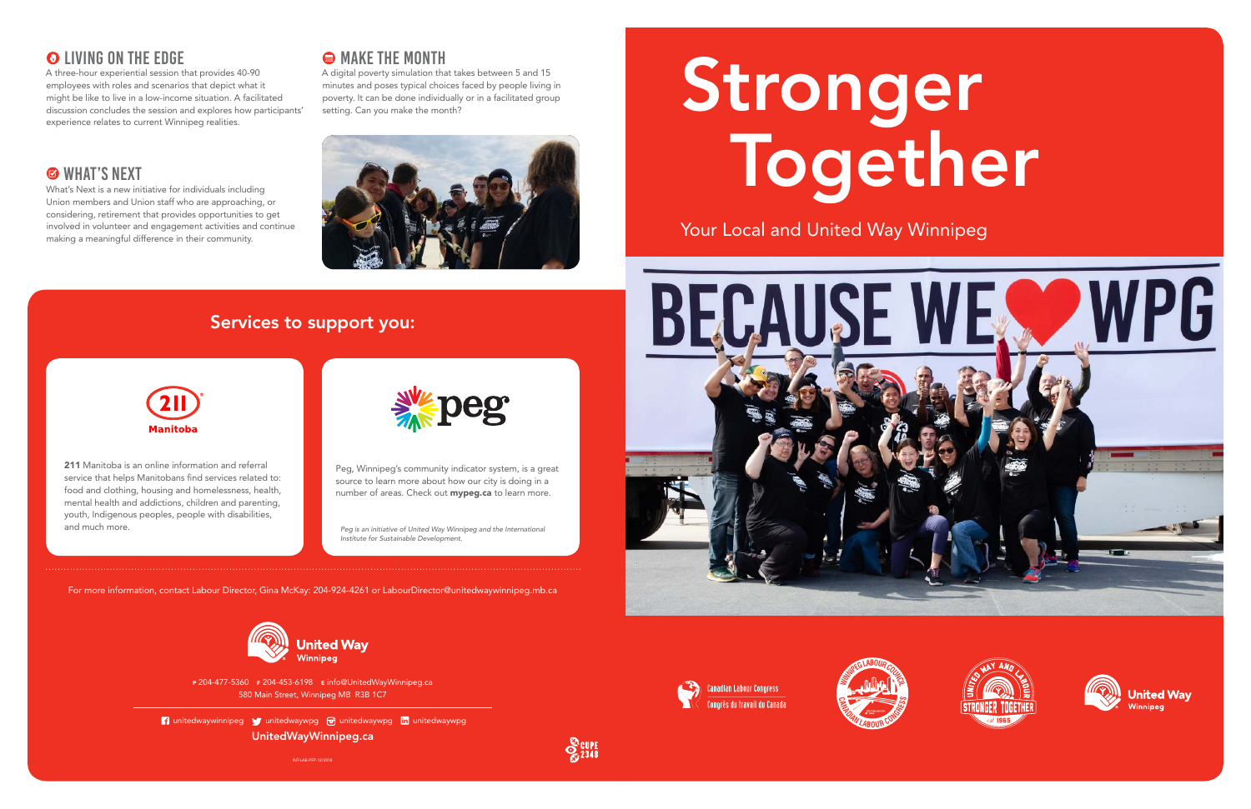# Stronger Together

Your Local and United Way Winnipeg









INT-LAB-PFP-12/2018



<sup>P</sup> 204-477-5360 F 204-453-6198 E info@UnitedWayWinnipeg.ca 580 Main Street, Winnipeg MB R3B 1C7

**1** unitedwaywinnipeg **y** unitedwaywpg **o** unitedwaywpg in unitedwaywpg UnitedWayWinnipeg.ca

211 Manitoba is an online information and referral service that helps Manitobans find services related to: food and clothing, housing and homelessness, health, mental health and addictions, children and parenting, youth, Indigenous peoples, people with disabilities, and much more.



Peg, Winnipeg's community indicator system, is a great source to learn more about how our city is doing in a number of areas. Check out mypeg.ca to learn more.

## Services to support you:



For more information, contact Labour Director, Gina McKay: 204-924-4261 or LabourDirector@unitedwaywinnipeg.mb.ca



Peg is an initiative of United Way Winnipeg and the International Institute for Sustainable Development.

#### **O LIVING ON THE EDGE**

A three-hour experiential session that provides 40-90 employees with roles and scenarios that depict what it might be like to live in a low-income situation. A facilitated discussion concludes the session and explores how participants' experience relates to current Winnipeg realities.

## **S** WHAT'S NEXT

A digital poverty simulation that takes between 5 and 15 minutes and poses typical choices faced by people living in poverty. It can be done individually or in a facilitated group setting. Can you make the month?



What's Next is a new initiative for individuals including Union members and Union staff who are approaching, or considering, retirement that provides opportunities to get involved in volunteer and engagement activities and continue making a meaningful difference in their community.

#### **@ MAKE THE MONTH**